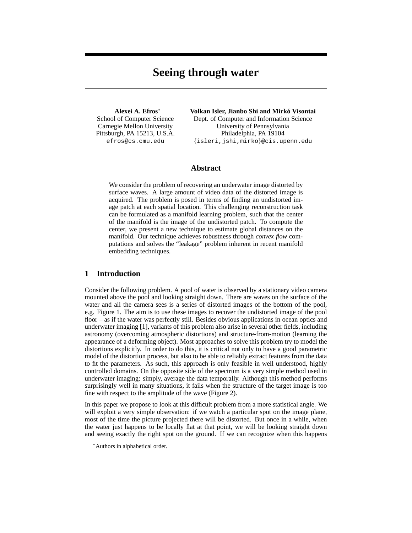# **Seeing through water**

**Alexei A. Efros**<sup>∗</sup> School of Computer Science Carnegie Mellon University Pittsburgh, PA 15213, U.S.A. efros@cs.cmu.edu

**Volkan Isler, Jianbo Shi and Mirko Visontai ´**

Dept. of Computer and Information Science University of Pennsylvania Philadelphia, PA 19104 {isleri,jshi,mirko}@cis.upenn.edu

# **Abstract**

We consider the problem of recovering an underwater image distorted by surface waves. A large amount of video data of the distorted image is acquired. The problem is posed in terms of finding an undistorted image patch at each spatial location. This challenging reconstruction task can be formulated as a manifold learning problem, such that the center of the manifold is the image of the undistorted patch. To compute the center, we present a new technique to estimate global distances on the manifold. Our technique achieves robustness through *convex flow* computations and solves the "leakage" problem inherent in recent manifold embedding techniques.

# **1 Introduction**

Consider the following problem. A pool of water is observed by a stationary video camera mounted above the pool and looking straight down. There are waves on the surface of the water and all the camera sees is a series of distorted images of the bottom of the pool, e.g. Figure 1. The aim is to use these images to recover the undistorted image of the pool floor – as if the water was perfectly still. Besides obvious applications in ocean optics and underwater imaging [1], variants of this problem also arise in several other fields, including astronomy (overcoming atmospheric distortions) and structure-from-motion (learning the appearance of a deforming object). Most approaches to solve this problem try to model the distortions explicitly. In order to do this, it is critical not only to have a good parametric model of the distortion process, but also to be able to reliably extract features from the data to fit the parameters. As such, this approach is only feasible in well understood, highly controlled domains. On the opposite side of the spectrum is a very simple method used in underwater imaging: simply, average the data temporally. Although this method performs surprisingly well in many situations, it fails when the structure of the target image is too fine with respect to the amplitude of the wave (Figure 2).

In this paper we propose to look at this difficult problem from a more statistical angle. We will exploit a very simple observation: if we watch a particular spot on the image plane, most of the time the picture projected there will be distorted. But once in a while, when the water just happens to be locally flat at that point, we will be looking straight down and seeing exactly the right spot on the ground. If we can recognize when this happens

<sup>∗</sup>Authors in alphabetical order.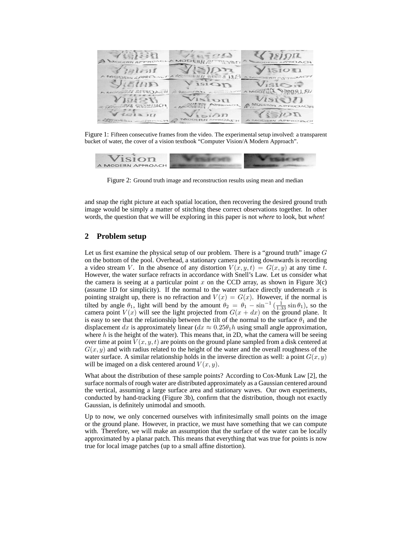

Figure 1: Fifteen consecutive frames from the video. The experimental setup involved: a transparent bucket of water, the cover of a vision textbook "Computer Vision/A Modern Approach".



Figure 2: Ground truth image and reconstruction results using mean and median

and snap the right picture at each spatial location, then recovering the desired ground truth image would be simply a matter of stitching these correct observations together. In other words, the question that we will be exploring in this paper is not *where* to look, but *when*!

# **2 Problem setup**

Let us first examine the physical setup of our problem. There is a "ground truth" image G on the bottom of the pool. Overhead, a stationary camera pointing downwards is recording a video stream V. In the absence of any distortion  $V(x, y, t) = G(x, y)$  at any time t. However, the water surface refracts in accordance with Snell's Law. Let us consider what the camera is seeing at a particular point x on the CCD array, as shown in Figure  $3(c)$ (assume 1D for simplicity). If the normal to the water surface directly underneath  $x$  is pointing straight up, there is no refraction and  $V(x) = G(x)$ . However, if the normal is tilted by angle  $\theta_1$ , light will bend by the amount  $\theta_2 = \theta_1 - \sin^{-1}(\frac{1}{1.33}\sin\theta_1)$ , so the camera point  $V(x)$  will see the light projected from  $G(x + dx)$  on the ground plane. It is easy to see that the relationship between the tilt of the normal to the surface  $\theta_1$  and the displacement dx is approximately linear ( $dx \approx 0.25\theta_1 h$  using small angle approximation, where  $h$  is the height of the water). This means that, in 2D, what the camera will be seeing over time at point  $V(x, y, t)$  are points on the ground plane sampled from a disk centered at  $G(x, y)$  and with radius related to the height of the water and the overall roughness of the water surface. A similar relationship holds in the inverse direction as well: a point  $G(x, y)$ will be imaged on a disk centered around  $V(x, y)$ .

What about the distribution of these sample points? According to Cox-Munk Law [2], the surface normals of rough water are distributed approximately as a Gaussian centered around the vertical, assuming a large surface area and stationary waves. Our own experiments, conducted by hand-tracking (Figure 3b), confirm that the distribution, though not exactly Gaussian, is definitely unimodal and smooth.

Up to now, we only concerned ourselves with infinitesimally small points on the image or the ground plane. However, in practice, we must have something that we can compute with. Therefore, we will make an assumption that the surface of the water can be locally approximated by a planar patch. This means that everything that was true for points is now true for local image patches (up to a small affine distortion).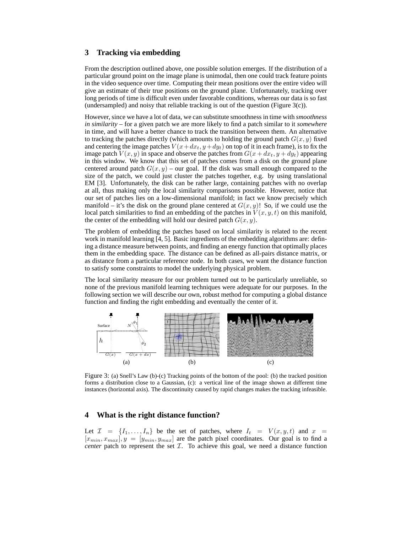## **3 Tracking via embedding**

From the description outlined above, one possible solution emerges. If the distribution of a particular ground point on the image plane is unimodal, then one could track feature points in the video sequence over time. Computing their mean positions over the entire video will give an estimate of their true positions on the ground plane. Unfortunately, tracking over long periods of time is difficult even under favorable conditions, whereas our data is so fast (undersampled) and noisy that reliable tracking is out of the question (Figure 3(c)).

However, since we have a lot of data, we can substitute smoothness in time with *smoothness in similarity* – for a given patch we are more likely to find a patch similar to it *somewhere* in time, and will have a better chance to track the transition between them. An alternative to tracking the patches directly (which amounts to holding the ground patch  $G(x, y)$  fixed and centering the image patches  $V(x+dx_t, y+dy_t)$  on top of it in each frame), is to fix the image patch  $V(x, y)$  in space and observe the patches from  $G(x + dx_t, y + dy_t)$  appearing in this window. We know that this set of patches comes from a disk on the ground plane centered around patch  $G(x, y)$  – our goal. If the disk was small enough compared to the size of the patch, we could just cluster the patches together, e.g. by using translational EM [3]. Unfortunately, the disk can be rather large, containing patches with no overlap at all, thus making only the local similarity comparisons possible. However, notice that our set of patches lies on a low-dimensional manifold; in fact we know precisely which manifold – it's the disk on the ground plane centered at  $G(x, y)$ ! So, if we could use the local patch similarities to find an embedding of the patches in  $V(x, y, t)$  on this manifold, the center of the embedding will hold our desired patch  $G(x, y)$ .

The problem of embedding the patches based on local similarity is related to the recent work in manifold learning [4, 5]. Basic ingredients of the embedding algorithms are: defining a distance measure between points, and finding an energy function that optimally places them in the embedding space. The distance can be defined as all-pairs distance matrix, or as distance from a particular reference node. In both cases, we want the distance function to satisfy some constraints to model the underlying physical problem.

The local similarity measure for our problem turned out to be particularly unreliable, so none of the previous manifold learning techniques were adequate for our purposes. In the following section we will describe our own, robust method for computing a global distance function and finding the right embedding and eventually the center of it.



Figure 3: (a) Snell's Law (b)-(c) Tracking points of the bottom of the pool: (b) the tracked position forms a distribution close to a Gaussian, (c): a vertical line of the image shown at different time instances (horizontal axis). The discontinuity caused by rapid changes makes the tracking infeasible.

## **4 What is the right distance function?**

Let  $\mathcal{I} = \{I_1, \ldots, I_n\}$  be the set of patches, where  $I_t = V(x, y, t)$  and  $x =$  $[x_{min}, x_{max}], y = [y_{min}, y_{max}]$  are the patch pixel coordinates. Our goal is to find a *center* patch to represent the set  $I$ . To achieve this goal, we need a distance function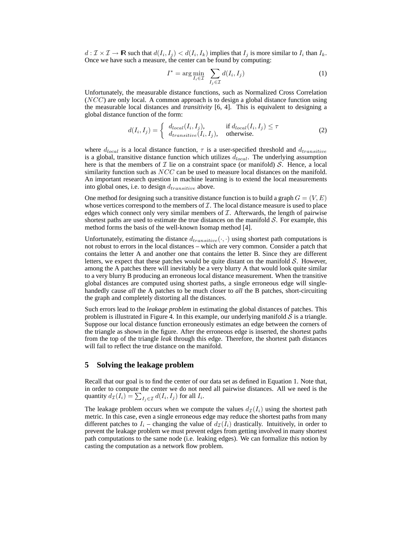$d: \mathcal{I} \times \mathcal{I} \to \mathbb{R}$  such that  $d(I_i, I_j) < d(I_i, I_k)$  implies that  $I_j$  is more similar to  $I_i$  than  $I_k$ . Once we have such a measure, the center can be found by computing:

$$
I^* = \arg\min_{I_i \in \mathcal{I}} \sum_{I_j \in \mathcal{I}} d(I_i, I_j)
$$
 (1)

Unfortunately, the measurable distance functions, such as Normalized Cross Correlation  $(NCC)$  are only local. A common approach is to design a global distance function using the measurable local distances and *transitivity* [6, 4]. This is equivalent to designing a global distance function of the form:

$$
d(I_i, I_j) = \begin{cases} d_{local}(I_i, I_j), & \text{if } d_{local}(I_i, I_j) \le \tau \\ d_{transitive}(I_i, I_j), & \text{otherwise.} \end{cases} \tag{2}
$$

where  $d_{local}$  is a local distance function,  $\tau$  is a user-specified threshold and  $d_{transitive}$ is a global, transitive distance function which utilizes  $d_{local}$ . The underlying assumption here is that the members of  $\mathcal I$  lie on a constraint space (or manifold)  $\mathcal S$ . Hence, a local similarity function such as  $NCC$  can be used to measure local distances on the manifold. An important research question in machine learning is to extend the local measurements into global ones, i.e. to design  $d_{transitive}$  above.

One method for designing such a transitive distance function is to build a graph  $G = (V, E)$ whose vertices correspond to the members of  $\mathcal I$ . The local distance measure is used to place edges which connect only very similar members of  $I$ . Afterwards, the length of pairwise shortest paths are used to estimate the true distances on the manifold  $S$ . For example, this method forms the basis of the well-known Isomap method [4].

Unfortunately, estimating the distance  $d_{transitive}(\cdot, \cdot)$  using shortest path computations is not robust to errors in the local distances – which are very common. Consider a patch that contains the letter A and another one that contains the letter B. Since they are different letters, we expect that these patches would be quite distant on the manifold  $S$ . However, among the A patches there will inevitably be a very blurry A that would look quite similar to a very blurry B producing an erroneous local distance measurement. When the transitive global distances are computed using shortest paths, a single erroneous edge will singlehandedly cause *all* the A patches to be much closer to *all* the B patches, short-circuiting the graph and completely distorting all the distances.

Such errors lead to the *leakage problem* in estimating the global distances of patches. This problem is illustrated in Figure 4. In this example, our underlying manifold  $S$  is a triangle. Suppose our local distance function erroneously estimates an edge between the corners of the triangle as shown in the figure. After the erroneous edge is inserted, the shortest paths from the top of the triangle *leak* through this edge. Therefore, the shortest path distances will fail to reflect the true distance on the manifold.

#### **5 Solving the leakage problem**

Recall that our goal is to find the center of our data set as defined in Equation 1. Note that, in order to compute the center we do not need all pairwise distances. All we need is the quantity  $d_{\mathcal{I}}(I_i) = \sum_{I_j \in \mathcal{I}} d(I_i, I_j)$  for all  $I_i$ .

The leakage problem occurs when we compute the values  $d_{\mathcal{I}}(I_i)$  using the shortest path metric. In this case, even a single erroneous edge may reduce the shortest paths from many different patches to  $I_i$  – changing the value of  $d_{\mathcal{I}}(I_i)$  drastically. Intuitively, in order to prevent the leakage problem we must prevent edges from getting involved in many shortest path computations to the same node (i.e. leaking edges). We can formalize this notion by casting the computation as a network flow problem.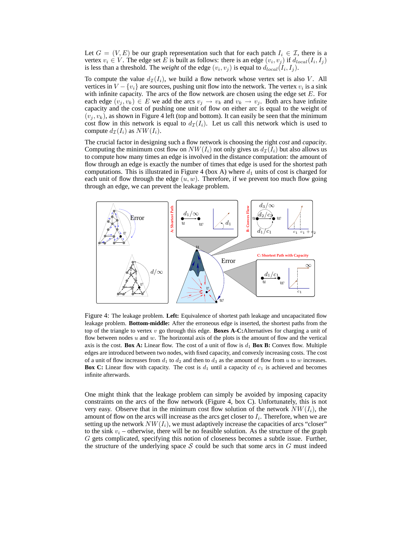Let  $G = (V, E)$  be our graph representation such that for each patch  $I_i \in \mathcal{I}$ , there is a vertex  $v_i \in V$ . The edge set E is built as follows: there is an edge  $(v_i, v_j)$  if  $d_{local}(I_i, I_j)$ is less than a threshold. The *weight* of the edge  $(v_i, v_j)$  is equal to  $d_{local}(I_i, I_j)$ .

To compute the value  $d_{\mathcal{I}}(I_i)$ , we build a flow network whose vertex set is also V. All vertices in  $V - \{v_i\}$  are sources, pushing unit flow into the network. The vertex  $v_i$  is a sink with infinite capacity. The arcs of the flow network are chosen using the edge set  $E$ . For each edge  $(v_j, v_k) \in E$  we add the arcs  $v_j \to v_k$  and  $v_k \to v_j$ . Both arcs have infinite capacity and the cost of pushing one unit of flow on either arc is equal to the weight of  $(v_i, v_k)$ , as shown in Figure 4 left (top and bottom). It can easily be seen that the minimum cost flow in this network is equal to  $d_{\mathcal{I}}(I_i)$ . Let us call this network which is used to compute  $d_{\mathcal{I}}(I_i)$  as  $NW(I_i)$ .

The crucial factor in designing such a flow network is choosing the right *cost* and *capacity*. Computing the minimum cost flow on  $NW(I_i)$  not only gives us  $d_{\mathcal{I}}(I_i)$  but also allows us to compute how many times an edge is involved in the distance computation: the amount of flow through an edge is exactly the number of times that edge is used for the shortest path computations. This is illustrated in Figure 4 (box A) where  $d_1$  units of cost is charged for each unit of flow through the edge  $(u, w)$ . Therefore, if we prevent too much flow going through an edge, we can prevent the leakage problem.



Figure 4: The leakage problem. **Left:** Equivalence of shortest path leakage and uncapacitated flow leakage problem. **Bottom-middle:** After the erroneous edge is inserted, the shortest paths from the top of the triangle to vertex v go through this edge. **Boxes A-C:**Alternatives for charging a unit of flow between nodes  $u$  and  $w$ . The horizontal axis of the plots is the amount of flow and the vertical axis is the cost. **Box A:** Linear flow. The cost of a unit of flow is  $d_1$  **Box B:** Convex flow. Multiple edges are introduced between two nodes, with fixed capacity, and convexly increasing costs. The cost of a unit of flow increases from  $d_1$  to  $d_2$  and then to  $d_3$  as the amount of flow from u to w increases. **Box C:** Linear flow with capacity. The cost is  $d_1$  until a capacity of  $c_1$  is achieved and becomes infinite afterwards.

One might think that the leakage problem can simply be avoided by imposing capacity constraints on the arcs of the flow network (Figure 4, box C). Unfortunately, this is not very easy. Observe that in the minimum cost flow solution of the network  $NW(I_i)$ , the amount of flow on the arcs will increase as the arcs get closer to  $I_i$ . Therefore, when we are setting up the network  $NW(I_i)$ , we must adaptively increase the capacities of arcs "closer" to the sink  $v_i$  – otherwise, there will be no feasible solution. As the structure of the graph G gets complicated, specifying this notion of closeness becomes a subtle issue. Further, the structure of the underlying space  $S$  could be such that some arcs in  $G$  must indeed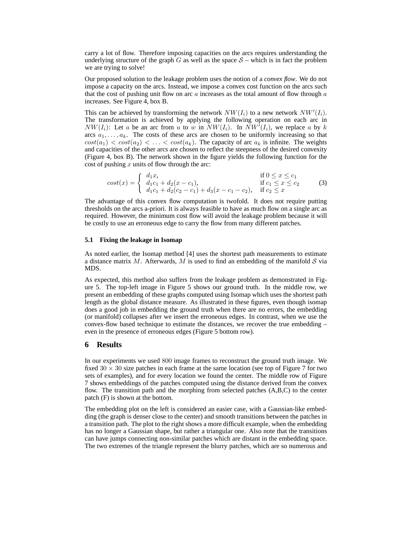carry a lot of flow. Therefore imposing capacities on the arcs requires understanding the underlying structure of the graph G as well as the space  $S$  – which is in fact the problem we are trying to solve!

Our proposed solution to the leakage problem uses the notion of a *convex flow*. We do not impose a capacity on the arcs. Instead, we impose a convex cost function on the arcs such that the cost of pushing unit flow on arc  $\alpha$  increases as the total amount of flow through  $\alpha$ increases. See Figure 4, box B.

This can be achieved by transforming the network  $NW(I_i)$  to a new network  $NW'(I_i)$ . The transformation is achieved by applying the following operation on each arc in  $NW(I_i)$ : Let a be an arc from u to w in  $\overline{NW(I_i)}$ . In  $\overline{NW'}(I_i)$ , we replace a by k arcs  $a_1, \ldots, a_k$ . The costs of these arcs are chosen to be uniformly increasing so that  $cost(a_1) < cost(a_2) < \ldots < cost(a_k)$ . The capacity of arc  $a_k$  is infinite. The weights and capacities of the other arcs are chosen to reflect the steepness of the desired convexity (Figure 4, box B). The network shown in the figure yields the following function for the cost of pushing  $x$  units of flow through the arc:

$$
cost(x) = \begin{cases} d_1x, & \text{if } 0 \le x \le c_1 \\ d_1c_1 + d_2(x - c_1), & \text{if } c_1 \le x \le c_2 \\ d_1c_1 + d_2(c_2 - c_1) + d_3(x - c_1 - c_2), & \text{if } c_2 \le x \end{cases}
$$
(3)

The advantage of this convex flow computation is twofold. It does not require putting thresholds on the arcs a-priori. It is always feasible to have as much flow on a single arc as required. However, the minimum cost flow will avoid the leakage problem because it will be costly to use an erroneous edge to carry the flow from many different patches.

#### **5.1 Fixing the leakage in Isomap**

As noted earlier, the Isomap method [4] uses the shortest path measurements to estimate a distance matrix M. Afterwards, M is used to find an embedding of the manifold  $S$  via MDS.

As expected, this method also suffers from the leakage problem as demonstrated in Figure 5. The top-left image in Figure 5 shows our ground truth. In the middle row, we present an embedding of these graphs computed using Isomap which uses the shortest path length as the global distance measure. As illustrated in these figures, even though isomap does a good job in embedding the ground truth when there are no errors, the embedding (or manifold) collapses after we insert the erroneous edges. In contrast, when we use the convex-flow based technique to estimate the distances, we recover the true embedding – even in the presence of erroneous edges (Figure 5 bottom row).

## **6 Results**

In our experiments we used 800 image frames to reconstruct the ground truth image. We fixed  $30 \times 30$  size patches in each frame at the same location (see top of Figure 7 for two sets of examples), and for every location we found the center. The middle row of Figure 7 shows embeddings of the patches computed using the distance derived from the convex flow. The transition path and the morphing from selected patches (A,B,C) to the center patch (F) is shown at the bottom.

The embedding plot on the left is considered an easier case, with a Gaussian-like embedding (the graph is denser close to the center) and smooth transitions between the patches in a transition path. The plot to the right shows a more difficult example, when the embedding has no longer a Gaussian shape, but rather a triangular one. Also note that the transitions can have jumps connecting non-similar patches which are distant in the embedding space. The two extremes of the triangle represent the blurry patches, which are so numerous and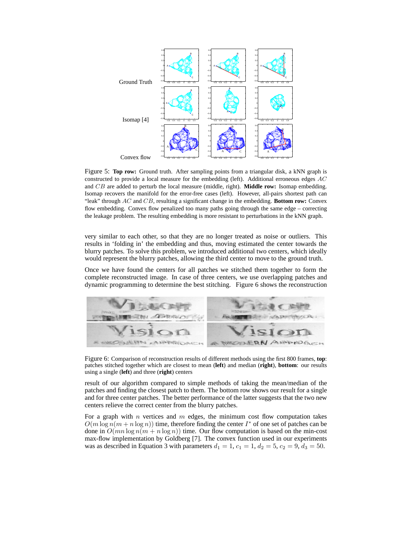

Figure 5: **Top row:** Ground truth. After sampling points from a triangular disk, a kNN graph is constructed to provide a local measure for the embedding (left). Additional erroneous edges  $AC$ and CB are added to perturb the local measure (middle, right). **Middle row:** Isomap embedding. Isomap recovers the manifold for the error-free cases (left). However, all-pairs shortest path can "leak" through AC and CB, resulting a significant change in the embedding. **Bottom row:** Convex flow embedding. Convex flow penalized too many paths going through the same edge – correcting the leakage problem. The resulting embedding is more resistant to perturbations in the kNN graph.

very similar to each other, so that they are no longer treated as noise or outliers. This results in 'folding in' the embedding and thus, moving estimated the center towards the blurry patches. To solve this problem, we introduced additional two centers, which ideally would represent the blurry patches, allowing the third center to move to the ground truth.

Once we have found the centers for all patches we stitched them together to form the complete reconstructed image. In case of three centers, we use overlapping patches and dynamic programming to determine the best stitching. Figure 6 shows the reconstruction



Figure 6: Comparison of reconstruction results of different methods using the first 800 frames, **top**: patches stitched together which are closest to mean (**left**) and median (**right**), **bottom**: our results using a single (**left**) and three (**right**) centers

result of our algorithm compared to simple methods of taking the mean/median of the patches and finding the closest patch to them. The bottom row shows our result for a single and for three center patches. The better performance of the latter suggests that the two new centers relieve the correct center from the blurry patches.

For a graph with  $n$  vertices and  $m$  edges, the minimum cost flow computation takes  $O(m \log n(m + n \log n))$  time, therefore finding the center  $I^*$  of one set of patches can be done in  $O(mn \log n(m + n \log n))$  time. Our flow computation is based on the min-cost max-flow implementation by Goldberg [7]. The convex function used in our experiments was as described in Equation 3 with parameters  $d_1 = 1$ ,  $c_1 = 1$ ,  $d_2 = 5$ ,  $c_2 = 9$ ,  $d_3 = 50$ .